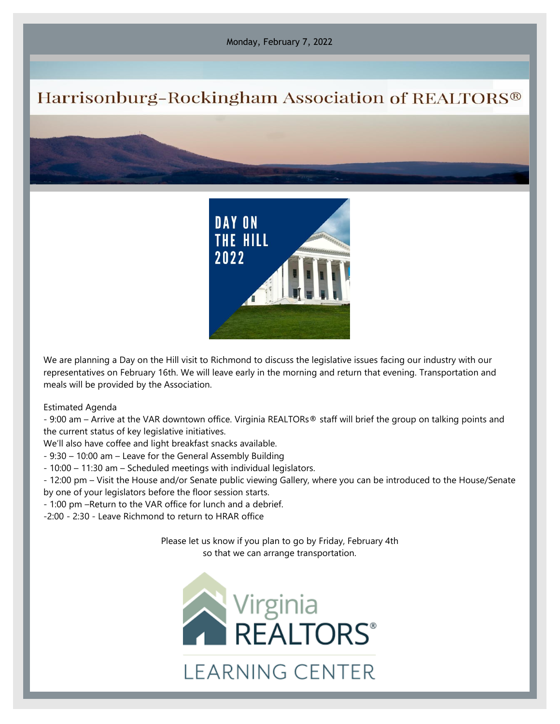Monday, February 7, 2022

## Harrisonburg-Rockingham Association of REALTORS®



We are planning a Day on the Hill visit to Richmond to discuss the legislative issues facing our industry with our representatives on February 16th. We will leave early in the morning and return that evening. Transportation and meals will be provided by the Association.

Estimated Agenda

- 9:00 am – Arrive at the VAR downtown office. Virginia REALTORs® staff will brief the group on talking points and the current status of key legislative initiatives.

We'll also have coffee and light breakfast snacks available.

- 9:30 – 10:00 am – Leave for the General Assembly Building

- 10:00 – 11:30 am – Scheduled meetings with individual legislators.

- 12:00 pm – Visit the House and/or Senate public viewing Gallery, where you can be introduced to the House/Senate by one of your legislators before the floor session starts.

- 1:00 pm –Return to the VAR office for lunch and a debrief.

-2:00 - 2:30 - Leave Richmond to return to HRAR office

Please let us know if you plan to go by Friday, February 4th so that we can arrange transportation.